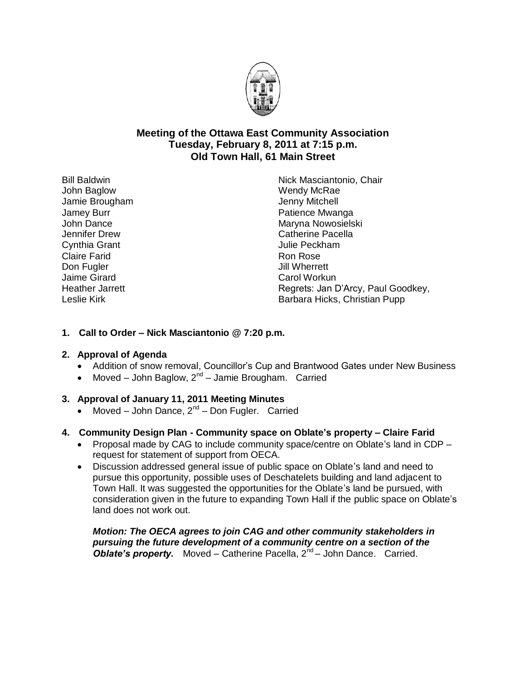

# **Meeting of the Ottawa East Community Association Tuesday, February 8, 2011 at 7:15 p.m. Old Town Hall, 61 Main Street**

Bill Baldwin John Baglow Jamie Brougham Jamey Burr John Dance Jennifer Drew Cynthia Grant Claire Farid Don Fugler Jaime Girard Heather Jarrett Leslie Kirk

Nick Masciantonio, Chair Wendy McRae Jenny Mitchell Patience Mwanga Maryna Nowosielski Catherine Pacella Julie Peckham Ron Rose Jill Wherrett Carol Workun Regrets: Jan D'Arcy, Paul Goodkey, Barbara Hicks, Christian Pupp

## **1. Call to Order – Nick Masciantonio @ 7:20 p.m.**

## **2. Approval of Agenda**

- Addition of snow removal, Councillor's Cup and Brantwood Gates under New Business
- Moved John Baglow,  $2^{nd}$  Jamie Brougham. Carried

# **3. Approval of January 11, 2011 Meeting Minutes**

• Moved – John Dance,  $2^{nd}$  – Don Fugler. Carried

# **4. Community Design Plan - Community space on Oblate's property – Claire Farid**

- Proposal made by CAG to include community space/centre on Oblate's land in CDP request for statement of support from OECA.
- Discussion addressed general issue of public space on Oblate's land and need to pursue this opportunity, possible uses of Deschatelets building and land adjacent to Town Hall. It was suggested the opportunities for the Oblate's land be pursued, with consideration given in the future to expanding Town Hall if the public space on Oblate's land does not work out.

*Motion: The OECA agrees to join CAG and other community stakeholders in pursuing the future development of a community centre on a section of the*  **Oblate's property.** Moved – Catherine Pacella, 2<sup>nd</sup> – John Dance. Carried.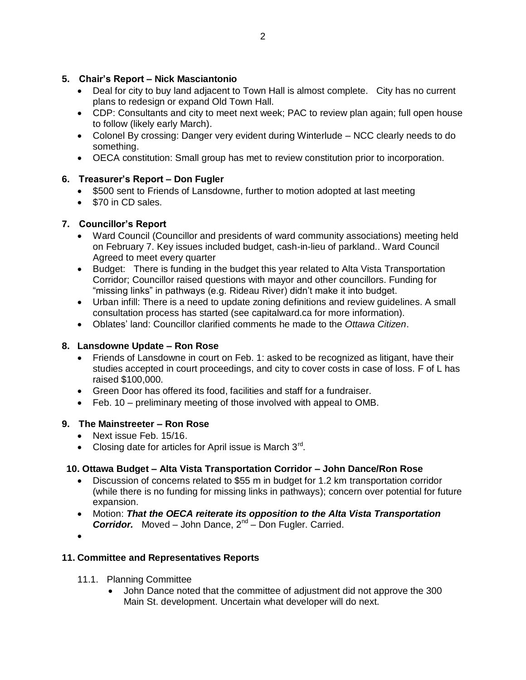# **5. Chair's Report – Nick Masciantonio**

- Deal for city to buy land adjacent to Town Hall is almost complete. City has no current plans to redesign or expand Old Town Hall.
- CDP: Consultants and city to meet next week; PAC to review plan again; full open house to follow (likely early March).
- Colonel By crossing: Danger very evident during Winterlude NCC clearly needs to do something.
- OECA constitution: Small group has met to review constitution prior to incorporation.

# **6. Treasurer's Report – Don Fugler**

- \$500 sent to Friends of Lansdowne, further to motion adopted at last meeting
- \$70 in CD sales.

# **7. Councillor's Report**

- Ward Council (Councillor and presidents of ward community associations) meeting held on February 7. Key issues included budget, cash-in-lieu of parkland.. Ward Council Agreed to meet every quarter
- Budget: There is funding in the budget this year related to Alta Vista Transportation Corridor; Councillor raised questions with mayor and other councillors. Funding for "missing links" in pathways (e.g. Rideau River) didn't make it into budget.
- Urban infill: There is a need to update zoning definitions and review guidelines. A small consultation process has started (see capitalward.ca for more information).
- Oblates' land: Councillor clarified comments he made to the *Ottawa Citizen*.

# **8. Lansdowne Update – Ron Rose**

- Friends of Lansdowne in court on Feb. 1: asked to be recognized as litigant, have their studies accepted in court proceedings, and city to cover costs in case of loss. F of L has raised \$100,000.
- Green Door has offered its food, facilities and staff for a fundraiser.
- Feb. 10 preliminary meeting of those involved with appeal to OMB.

## **9. The Mainstreeter – Ron Rose**

- Next issue Feb. 15/16.
- Closing date for articles for April issue is March  $3^{rd}$ .

## **10. Ottawa Budget – Alta Vista Transportation Corridor – John Dance/Ron Rose**

- Discussion of concerns related to \$55 m in budget for 1.2 km transportation corridor (while there is no funding for missing links in pathways); concern over potential for future expansion.
- Motion: *That the OECA reiterate its opposition to the Alta Vista Transportation*  **Corridor.** Moved – John Dance, 2<sup>nd</sup> – Don Fugler. Carried.
- $\bullet$

## **11. Committee and Representatives Reports**

- 11.1. Planning Committee
	- John Dance noted that the committee of adjustment did not approve the 300 Main St. development. Uncertain what developer will do next.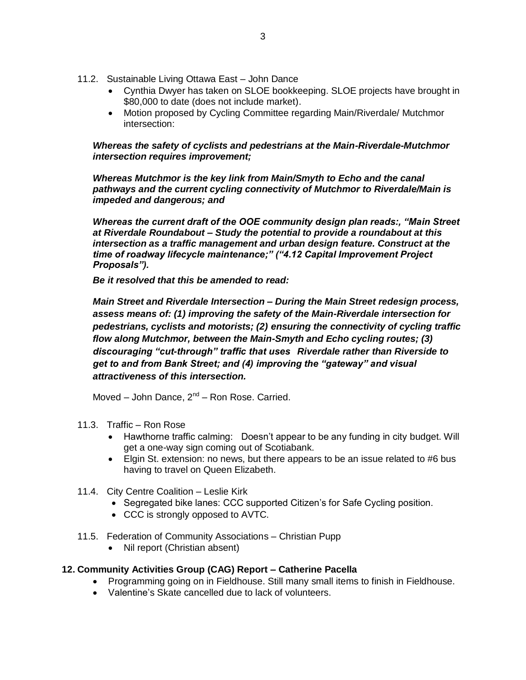- 11.2. Sustainable Living Ottawa East John Dance
	- Cynthia Dwyer has taken on SLOE bookkeeping. SLOE projects have brought in \$80,000 to date (does not include market).
	- Motion proposed by Cycling Committee regarding Main/Riverdale/ Mutchmor intersection:

*Whereas the safety of cyclists and pedestrians at the Main-Riverdale-Mutchmor intersection requires improvement;* 

*Whereas Mutchmor is the key link from Main/Smyth to Echo and the canal pathways and the current cycling connectivity of Mutchmor to Riverdale/Main is impeded and dangerous; and*

*Whereas the current draft of the OOE community design plan reads:, "Main Street at Riverdale Roundabout – Study the potential to provide a roundabout at this intersection as a traffic management and urban design feature. Construct at the time of roadway lifecycle maintenance;" ("4.12 Capital Improvement Project Proposals").*

*Be it resolved that this be amended to read:*

*Main Street and Riverdale Intersection – During the Main Street redesign process, assess means of: (1) improving the safety of the Main-Riverdale intersection for pedestrians, cyclists and motorists; (2) ensuring the connectivity of cycling traffic flow along Mutchmor, between the Main-Smyth and Echo cycling routes; (3) discouraging "cut-through" traffic that uses Riverdale rather than Riverside to get to and from Bank Street; and (4) improving the "gateway" and visual attractiveness of this intersection.* 

Moved – John Dance, 2<sup>nd</sup> – Ron Rose. Carried.

- 11.3. Traffic Ron Rose
	- Hawthorne traffic calming: Doesn't appear to be any funding in city budget. Will get a one-way sign coming out of Scotiabank.
	- Elgin St. extension: no news, but there appears to be an issue related to #6 bus having to travel on Queen Elizabeth.
- 11.4. City Centre Coalition Leslie Kirk
	- Segregated bike lanes: CCC supported Citizen's for Safe Cycling position.
	- CCC is strongly opposed to AVTC.
- 11.5. Federation of Community Associations Christian Pupp
	- Nil report (Christian absent)

#### **12. Community Activities Group (CAG) Report – Catherine Pacella**

- Programming going on in Fieldhouse. Still many small items to finish in Fieldhouse.
- Valentine's Skate cancelled due to lack of volunteers.